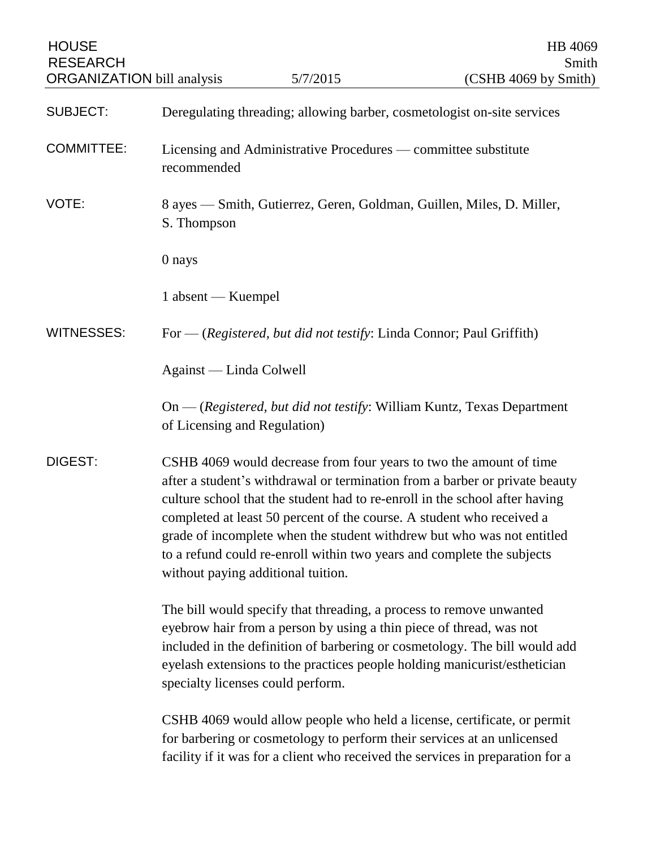| <b>HOUSE</b><br><b>RESEARCH</b><br><b>ORGANIZATION</b> bill analysis |                                                                                                                                                                                                                                                                                                                                            | 5/7/2015                                                             | HB 4069<br>Smith<br>(CSHB 4069 by Smith)                                                                                                                                                                                                                                                                                                                                                                                                                      |
|----------------------------------------------------------------------|--------------------------------------------------------------------------------------------------------------------------------------------------------------------------------------------------------------------------------------------------------------------------------------------------------------------------------------------|----------------------------------------------------------------------|---------------------------------------------------------------------------------------------------------------------------------------------------------------------------------------------------------------------------------------------------------------------------------------------------------------------------------------------------------------------------------------------------------------------------------------------------------------|
| <b>SUBJECT:</b>                                                      | Deregulating threading; allowing barber, cosmetologist on-site services                                                                                                                                                                                                                                                                    |                                                                      |                                                                                                                                                                                                                                                                                                                                                                                                                                                               |
| <b>COMMITTEE:</b>                                                    | Licensing and Administrative Procedures — committee substitute<br>recommended                                                                                                                                                                                                                                                              |                                                                      |                                                                                                                                                                                                                                                                                                                                                                                                                                                               |
| VOTE:                                                                | S. Thompson                                                                                                                                                                                                                                                                                                                                |                                                                      | 8 ayes — Smith, Gutierrez, Geren, Goldman, Guillen, Miles, D. Miller,                                                                                                                                                                                                                                                                                                                                                                                         |
|                                                                      | 0 nays                                                                                                                                                                                                                                                                                                                                     |                                                                      |                                                                                                                                                                                                                                                                                                                                                                                                                                                               |
|                                                                      | 1 absent — Kuempel                                                                                                                                                                                                                                                                                                                         |                                                                      |                                                                                                                                                                                                                                                                                                                                                                                                                                                               |
| <b>WITNESSES:</b>                                                    |                                                                                                                                                                                                                                                                                                                                            | For — (Registered, but did not testify: Linda Connor; Paul Griffith) |                                                                                                                                                                                                                                                                                                                                                                                                                                                               |
|                                                                      | Against — Linda Colwell                                                                                                                                                                                                                                                                                                                    |                                                                      |                                                                                                                                                                                                                                                                                                                                                                                                                                                               |
|                                                                      | of Licensing and Regulation)                                                                                                                                                                                                                                                                                                               |                                                                      | On — (Registered, but did not testify: William Kuntz, Texas Department                                                                                                                                                                                                                                                                                                                                                                                        |
| DIGEST:                                                              | without paying additional tuition.                                                                                                                                                                                                                                                                                                         |                                                                      | CSHB 4069 would decrease from four years to two the amount of time<br>after a student's withdrawal or termination from a barber or private beauty<br>culture school that the student had to re-enroll in the school after having<br>completed at least 50 percent of the course. A student who received a<br>grade of incomplete when the student withdrew but who was not entitled<br>to a refund could re-enroll within two years and complete the subjects |
|                                                                      | The bill would specify that threading, a process to remove unwanted<br>eyebrow hair from a person by using a thin piece of thread, was not<br>included in the definition of barbering or cosmetology. The bill would add<br>eyelash extensions to the practices people holding manicurist/esthetician<br>specialty licenses could perform. |                                                                      |                                                                                                                                                                                                                                                                                                                                                                                                                                                               |
|                                                                      |                                                                                                                                                                                                                                                                                                                                            |                                                                      | CSHB 4069 would allow people who held a license, certificate, or permit<br>for barbering or cosmetology to perform their services at an unlicensed<br>facility if it was for a client who received the services in preparation for a                                                                                                                                                                                                                          |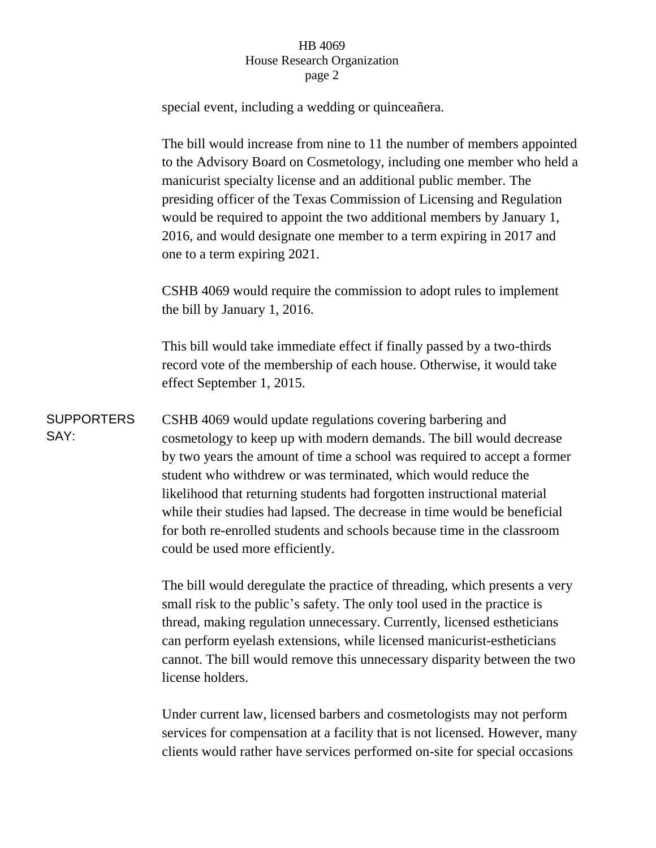## HB 4069 House Research Organization page 2

special event, including a wedding or quinceañera.

The bill would increase from nine to 11 the number of members appointed to the Advisory Board on Cosmetology, including one member who held a manicurist specialty license and an additional public member. The presiding officer of the Texas Commission of Licensing and Regulation would be required to appoint the two additional members by January 1, 2016, and would designate one member to a term expiring in 2017 and one to a term expiring 2021.

CSHB 4069 would require the commission to adopt rules to implement the bill by January 1, 2016.

This bill would take immediate effect if finally passed by a two-thirds record vote of the membership of each house. Otherwise, it would take effect September 1, 2015.

SUPPORTERS SAY: CSHB 4069 would update regulations covering barbering and cosmetology to keep up with modern demands. The bill would decrease by two years the amount of time a school was required to accept a former student who withdrew or was terminated, which would reduce the likelihood that returning students had forgotten instructional material while their studies had lapsed. The decrease in time would be beneficial for both re-enrolled students and schools because time in the classroom could be used more efficiently.

> The bill would deregulate the practice of threading, which presents a very small risk to the public's safety. The only tool used in the practice is thread, making regulation unnecessary. Currently, licensed estheticians can perform eyelash extensions, while licensed manicurist-estheticians cannot. The bill would remove this unnecessary disparity between the two license holders.

> Under current law, licensed barbers and cosmetologists may not perform services for compensation at a facility that is not licensed. However, many clients would rather have services performed on-site for special occasions